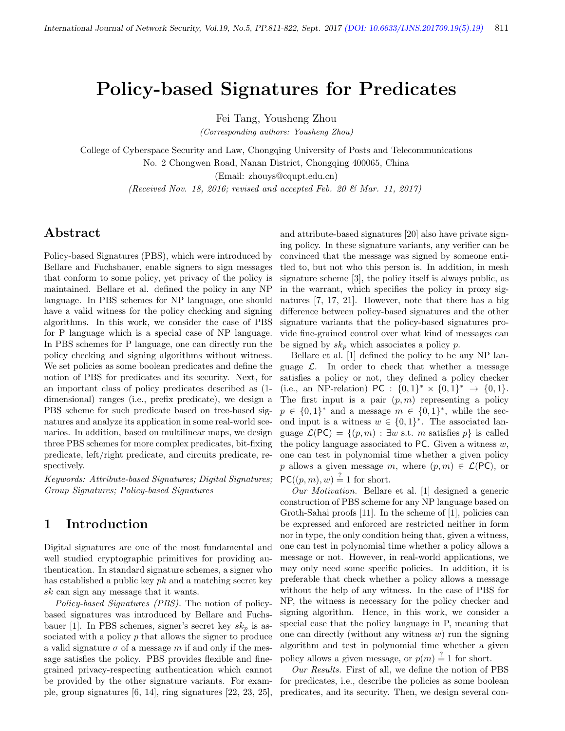# Policy-based Signatures for Predicates

Fei Tang, Yousheng Zhou

(Corresponding authors: Yousheng Zhou)

College of Cyberspace Security and Law, Chongqing University of Posts and Telecommunications

No. 2 Chongwen Road, Nanan District, Chongqing 400065, China

(Email: zhouys@cqupt.edu.cn)

(Received Nov. 18, 2016; revised and accepted Feb. 20  $\mathcal{O}$  Mar. 11, 2017)

# Abstract

Policy-based Signatures (PBS), which were introduced by Bellare and Fuchsbauer, enable signers to sign messages that conform to some policy, yet privacy of the policy is maintained. Bellare et al. defined the policy in any NP language. In PBS schemes for NP language, one should have a valid witness for the policy checking and signing algorithms. In this work, we consider the case of PBS for P language which is a special case of NP language. In PBS schemes for P language, one can directly run the policy checking and signing algorithms without witness. We set policies as some boolean predicates and define the notion of PBS for predicates and its security. Next, for an important class of policy predicates described as (1 dimensional) ranges (i.e., prefix predicate), we design a PBS scheme for such predicate based on tree-based signatures and analyze its application in some real-world scenarios. In addition, based on multilinear maps, we design three PBS schemes for more complex predicates, bit-fixing predicate, left/right predicate, and circuits predicate, respectively.

Keywords: Attribute-based Signatures; Digital Signatures; Group Signatures; Policy-based Signatures

# 1 Introduction

Digital signatures are one of the most fundamental and well studied cryptographic primitives for providing authentication. In standard signature schemes, a signer who has established a public key  $pk$  and a matching secret key sk can sign any message that it wants.

Policy-based Signatures (PBS). The notion of policybased signatures was introduced by Bellare and Fuchsbauer [1]. In PBS schemes, signer's secret key  $sk_p$  is associated with a policy p that allows the signer to produce a valid signature  $\sigma$  of a message m if and only if the message satisfies the policy. PBS provides flexible and finegrained privacy-respecting authentication which cannot be provided by the other signature variants. For example, group signatures [6, 14], ring signatures [22, 23, 25],

and attribute-based signatures [20] also have private signing policy. In these signature variants, any verifier can be convinced that the message was signed by someone entitled to, but not who this person is. In addition, in mesh signature scheme [3], the policy itself is always public, as in the warrant, which specifies the policy in proxy signatures [7, 17, 21]. However, note that there has a big difference between policy-based signatures and the other signature variants that the policy-based signatures provide fine-grained control over what kind of messages can be signed by  $sk_p$  which associates a policy  $p$ .

Bellare et al. [1] defined the policy to be any NP language  $\mathcal{L}$ . In order to check that whether a message satisfies a policy or not, they defined a policy checker (i.e., an NP-relation) PC :  $\{0,1\}^* \times \{0,1\}^* \rightarrow \{0,1\}$ . The first input is a pair  $(p, m)$  representing a policy  $p \in \{0,1\}^*$  and a message  $m \in \{0,1\}^*$ , while the second input is a witness  $w \in \{0,1\}^*$ . The associated language  $\mathcal{L}(PC) = \{(p, m) : \exists w \text{ s.t. } m \text{ satisfies } p\}$  is called the policy language associated to  $PC$ . Given a witness  $w$ , one can test in polynomial time whether a given policy p allows a given message m, where  $(p, m) \in \mathcal{L}(\mathsf{PC})$ , or  $PC((p, m), w) \stackrel{?}{=} 1$  for short.

Our Motivation. Bellare et al. [1] designed a generic construction of PBS scheme for any NP language based on Groth-Sahai proofs [11]. In the scheme of [1], policies can be expressed and enforced are restricted neither in form nor in type, the only condition being that, given a witness, one can test in polynomial time whether a policy allows a message or not. However, in real-world applications, we may only need some specific policies. In addition, it is preferable that check whether a policy allows a message without the help of any witness. In the case of PBS for NP, the witness is necessary for the policy checker and signing algorithm. Hence, in this work, we consider a special case that the policy language in P, meaning that one can directly (without any witness  $w$ ) run the signing algorithm and test in polynomial time whether a given policy allows a given message, or  $p(m) \stackrel{?}{=} 1$  for short.

Our Results. First of all, we define the notion of PBS for predicates, i.e., describe the policies as some boolean predicates, and its security. Then, we design several con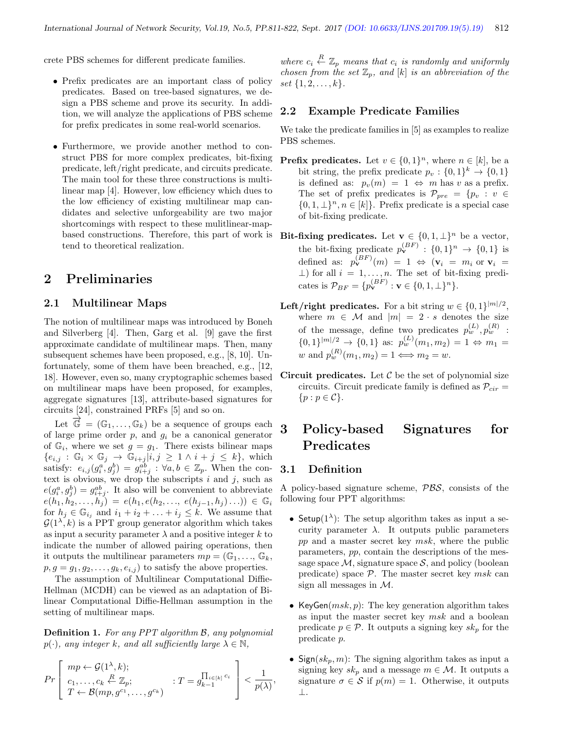crete PBS schemes for different predicate families.

- Prefix predicates are an important class of policy predicates. Based on tree-based signatures, we design a PBS scheme and prove its security. In addition, we will analyze the applications of PBS scheme for prefix predicates in some real-world scenarios.
- Furthermore, we provide another method to construct PBS for more complex predicates, bit-fixing predicate, left/right predicate, and circuits predicate. The main tool for these three constructions is multilinear map [4]. However, low efficiency which dues to the low efficiency of existing multilinear map candidates and selective unforgeability are two major shortcomings with respect to these mulitlinear-mapbased constructions. Therefore, this part of work is tend to theoretical realization.

## 2 Preliminaries

#### 2.1 Multilinear Maps

The notion of multilinear maps was introduced by Boneh and Silverberg [4]. Then, Garg et al. [9] gave the first approximate candidate of multilinear maps. Then, many subsequent schemes have been proposed, e.g., [8, 10]. Unfortunately, some of them have been breached, e.g., [12, 18]. However, even so, many cryptographic schemes based on multilinear maps have been proposed, for examples, aggregate signatures [13], attribute-based signatures for circuits [24], constrained PRFs [5] and so on.

Let  $\overrightarrow{\mathbb{G}} = (\mathbb{G}_1, \ldots, \mathbb{G}_k)$  be a sequence of groups each of large prime order  $p$ , and  $g_i$  be a canonical generator of  $\mathbb{G}_i$ , where we set  $g = g_1$ . There exists bilinear maps  ${e_{i,j} : \mathbb{G}_i \times \mathbb{G}_j \rightarrow \mathbb{G}_{i+j} | i,j \geq 1 \land i+j \leq k}, \text{ which}$ satisfy:  $e_{i,j}(g_i^a, g_j^b) = g_{i+j}^{ab}$ :  $\forall a, b \in \mathbb{Z}_p$ . When the context is obvious, we drop the subscripts  $i$  and  $j$ , such as  $e(g_i^a, g_j^b) = g_{i+j}^{ab}$ . It also will be convenient to abbreviate  $e(h_1, h_2, \ldots, h_j) = e(h_1, e(h_2, \ldots, e(h_{j-1}, h_j) \ldots)) \in \mathbb{G}_i$ for  $h_j \in \mathbb{G}_{i_j}$  and  $i_1 + i_2 + \ldots + i_j \leq k$ . We assume that  $\mathcal{G}(1^{\lambda}, k)$  is a PPT group generator algorithm which takes as input a security parameter  $\lambda$  and a positive integer k to indicate the number of allowed pairing operations, then it outputs the multilinear parameters  $mp = (\mathbb{G}_1, \ldots, \mathbb{G}_k,$  $p, g = g_1, g_2, \ldots, g_k, e_{i,j}$  to satisfy the above properties.

The assumption of Multilinear Computational Diffie-Hellman (MCDH) can be viewed as an adaptation of Bilinear Computational Diffie-Hellman assumption in the setting of multilinear maps.

Definition 1. For any PPT algorithm B, any polynomial  $p(\cdot)$ , any integer k, and all sufficiently large  $\lambda \in \mathbb{N}$ ,

$$
Pr\left[\begin{array}{l} mp \leftarrow \mathcal{G}(1^{\lambda}, k); \\ c_1, \ldots, c_k \stackrel{R}{\leftarrow} \mathbb{Z}_p; \\ T \leftarrow \mathcal{B}(mp, g^{c_1}, \ldots, g^{c_k}) \end{array} : T = g_{k-1}^{\prod_{i \in [k]} c_i} \right] < \frac{1}{p(\lambda)},\right]
$$

where  $c_i \stackrel{R}{\leftarrow} \mathbb{Z}_p$  means that  $c_i$  is randomly and uniformly chosen from the set  $\mathbb{Z}_p$ , and  $[k]$  is an abbreviation of the set  $\{1, 2, \ldots, k\}.$ 

#### 2.2 Example Predicate Families

We take the predicate families in [5] as examples to realize PBS schemes.

- **Prefix predicates.** Let  $v \in \{0,1\}^n$ , where  $n \in [k]$ , be a bit string, the prefix predicate  $p_v: \{0,1\}^k \to \{0,1\}$ is defined as:  $p_v(m) = 1 \Leftrightarrow m$  has v as a prefix. The set of prefix predicates is  $\mathcal{P}_{pre} = \{p_v : v \in$  $\{0, 1, \perp\}^n, n \in [k]\}.$  Prefix predicate is a special case of bit-fixing predicate.
- Bit-fixing predicates. Let  $\mathbf{v} \in \{0, 1, \perp\}^n$  be a vector, the bit-fixing predicate  $p_{\mathbf{v}}^{(BF)} : \{0,1\}^n \to \{0,1\}$  is defined as:  $p_{\mathbf{v}}^{(BF)}(m) = 1 \Leftrightarrow (\mathbf{v}_i = m_i \text{ or } \mathbf{v}_i =$  $\perp$ ) for all  $i = 1, \ldots, n$ . The set of bit-fixing predicates is  $\mathcal{P}_{BF} = \{p_{\mathbf{v}}^{(BF)} : \mathbf{v} \in \{0, 1, \perp\}^n\}.$
- Left/right predicates. For a bit string  $w \in \{0,1\}^{|m|/2}$ , where  $m \in \mathcal{M}$  and  $|m| = 2 \cdot s$  denotes the size of the message, define two predicates  $p_w^{(L)}$ ,  $p_w^{(R)}$ :  $\{0,1\}^{|m|/2} \to \{0,1\}$  as:  $p_w^{(L)}(m_1, m_2) = 1 \Leftrightarrow m_1 =$ w and  $p_w^{(R)}(m_1, m_2) = 1 \Longleftrightarrow m_2 = w$ .
- Circuit predicates. Let  $C$  be the set of polynomial size circuits. Circuit predicate family is defined as  $\mathcal{P}_{cir}$  =  $\{p : p \in \mathcal{C}\}.$

# 3 Policy-based Signatures for Predicates

### 3.1 Definition

A policy-based signature scheme, PBS, consists of the following four PPT algorithms:

- Setup( $1^{\lambda}$ ): The setup algorithm takes as input a security parameter  $\lambda$ . It outputs public parameters  $pp$  and a master secret key  $msk$ , where the public parameters, pp, contain the descriptions of the message space  $M$ , signature space  $S$ , and policy (boolean predicate) space  $P$ . The master secret key msk can sign all messages in M.
- KeyGen $(msk, p)$ : The key generation algorithm takes as input the master secret key msk and a boolean predicate  $p \in \mathcal{P}$ . It outputs a signing key  $sk_p$  for the predicate p.
- Sign( $sk_p, m$ ): The signing algorithm takes as input a signing key  $sk_p$  and a message  $m \in \mathcal{M}$ . It outputs a signature  $\sigma \in \mathcal{S}$  if  $p(m) = 1$ . Otherwise, it outputs ⊥.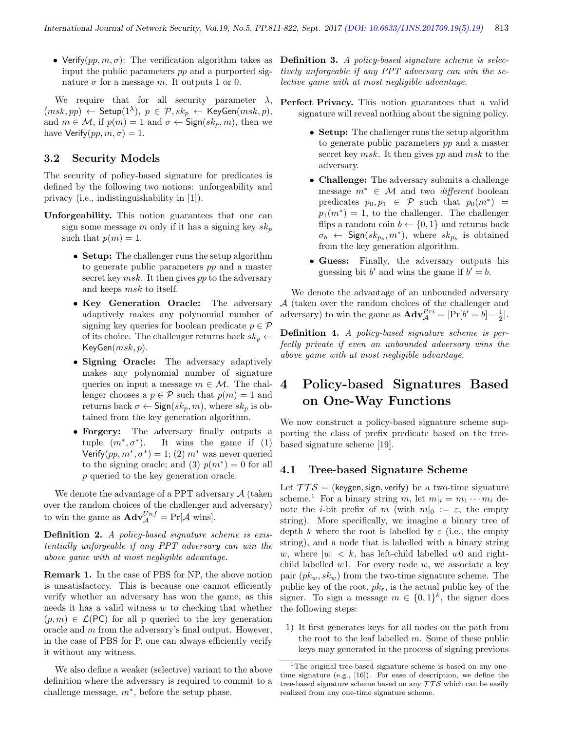• Verify $(pp, m, \sigma)$ : The verification algorithm takes as **Definition 3.** A policy-based signature scheme is selecinput the public parameters pp and a purported signature  $\sigma$  for a message m. It outputs 1 or 0.

We require that for all security parameter  $\lambda$ , **Perfect Privacy.** This notion guarantees that a valid  $(msk, pp) \leftarrow \mathsf{Setup}(1^{\lambda}), p \in \mathcal{P}, sk_p \leftarrow \mathsf{KeyGen}(msk, p),$ and  $m \in \mathcal{M}$ , if  $p(m) = 1$  and  $\sigma \leftarrow$  Sign $(sk_p, m)$ , then we have Verify $(pp, m, \sigma) = 1$ .

#### 3.2 Security Models

The security of policy-based signature for predicates is defined by the following two notions: unforgeability and privacy (i.e., indistinguishability in [1]).

- Unforgeability. This notion guarantees that one can sign some message m only if it has a signing key  $sk_n$ such that  $p(m) = 1$ .
	- Setup: The challenger runs the setup algorithm to generate public parameters pp and a master secret key  $msk$ . It then gives pp to the adversary and keeps msk to itself.
	- Key Generation Oracle: The adversary adaptively makes any polynomial number of signing key queries for boolean predicate  $p \in \mathcal{P}$ of its choice. The challenger returns back  $sk_p \leftarrow$  $KeyGen(msk, p)$ .
	- Signing Oracle: The adversary adaptively makes any polynomial number of signature queries on input a message  $m \in \mathcal{M}$ . The challenger chooses a  $p \in \mathcal{P}$  such that  $p(m) = 1$  and returns back  $\sigma \leftarrow$  Sign $(sk_p, m)$ , where  $sk_p$  is obtained from the key generation algorithm.
	- Forgery: The adversary finally outputs a tuple  $(m^*, \sigma^*)$ It wins the game if  $(1)$ Verify $(pp, m^*, \sigma^*) = 1$ ; (2)  $m^*$  was never queried to the signing oracle; and (3)  $p(m^*) = 0$  for all p queried to the key generation oracle.

We denote the advantage of a PPT adversary  $\mathcal{A}$  (taken over the random choices of the challenger and adversary) to win the game as  $\mathbf{Adv}_{\mathcal{A}}^{Unf} = \Pr[\mathcal{A} \text{ wins}].$ 

Definition 2. A policy-based signature scheme is existentially unforgeable if any PPT adversary can win the above game with at most negligible advantage.

Remark 1. In the case of PBS for NP, the above notion is unsatisfactory. This is because one cannot efficiently verify whether an adversary has won the game, as this needs it has a valid witness  $w$  to checking that whether  $(p, m) \in \mathcal{L}(\mathsf{PC})$  for all p queried to the key generation oracle and m from the adversary's final output. However, in the case of PBS for P, one can always efficiently verify it without any witness.

We also define a weaker (selective) variant to the above definition where the adversary is required to commit to a challenge message,  $m^*$ , before the setup phase.

tively unforgeable if any PPT adversary can win the selective game with at most negligible advantage.

- signature will reveal nothing about the signing policy.
	- Setup: The challenger runs the setup algorithm to generate public parameters pp and a master secret key msk. It then gives pp and msk to the adversary.
	- Challenge: The adversary submits a challenge message  $m^* \in \mathcal{M}$  and two *different* boolean predicates  $p_0, p_1 \in \mathcal{P}$  such that  $p_0(m^*) =$  $p_1(m^*) = 1$ , to the challenger. The challenger flips a random coin  $b \leftarrow \{0, 1\}$  and returns back  $\sigma_b \leftarrow$  Sign $(sk_{p_b}, m^*)$ , where  $sk_{p_b}$  is obtained from the key generation algorithm.
	- Guess: Finally, the adversary outputs his guessing bit b' and wins the game if  $b' = b$ .

We denote the advantage of an unbounded adversary A (taken over the random choices of the challenger and adversary) to win the game as  $\mathbf{Adv}_{\mathcal{A}}^{Pri} = |\Pr[b' = b] - \frac{1}{2}|.$ 

Definition 4. A policy-based signature scheme is perfectly private if even an unbounded adversary wins the above game with at most negligible advantage.

# 4 Policy-based Signatures Based on One-Way Functions

We now construct a policy-based signature scheme supporting the class of prefix predicate based on the treebased signature scheme [19].

### 4.1 Tree-based Signature Scheme

Let  $TTS =$  (keygen, sign, verify) be a two-time signature scheme.<sup>1</sup> For a binary string m, let  $m_i = m_1 \cdots m_i$  denote the *i*-bit prefix of m (with  $m|_0 := \varepsilon$ , the empty string). More specifically, we imagine a binary tree of depth k where the root is labelled by  $\varepsilon$  (i.e., the empty string), and a node that is labelled with a binary string w, where  $|w| < k$ , has left-child labelled w0 and rightchild labelled  $w1$ . For every node  $w$ , we associate a key pair  $(pk_w, sk_w)$  from the two-time signature scheme. The public key of the root,  $pk_{\varepsilon}$ , is the actual public key of the signer. To sign a message  $m \in \{0,1\}^k$ , the signer does the following steps:

1) It first generates keys for all nodes on the path from the root to the leaf labelled  $m$ . Some of these public keys may generated in the process of signing previous

<sup>&</sup>lt;sup>1</sup>The original tree-based signature scheme is based on any onetime signature (e.g., [16]). For ease of description, we define the tree-based signature scheme based on any  $TTS$  which can be easily realized from any one-time signature scheme.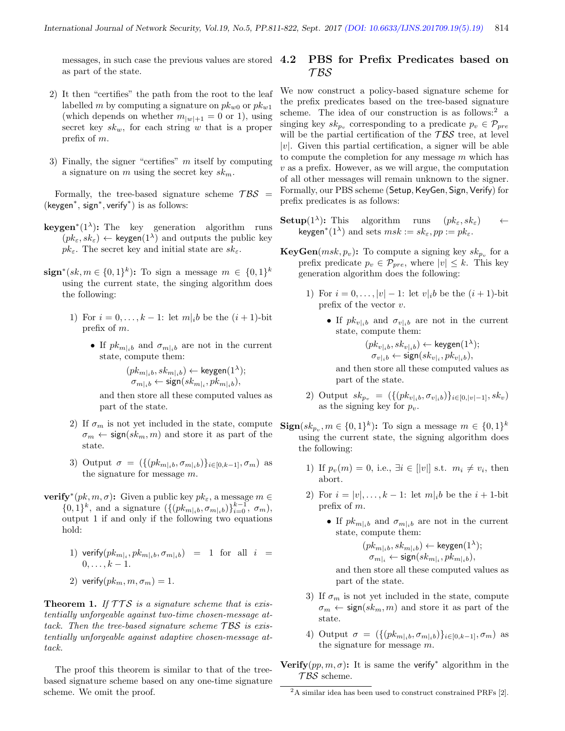messages, in such case the previous values are stored  $4.2$ as part of the state.

- 2) It then "certifies" the path from the root to the leaf labelled m by computing a signature on  $pk_{w0}$  or  $pk_{w1}$ (which depends on whether  $m_{|w|+1} = 0$  or 1), using secret key  $sk_w$ , for each string w that is a proper prefix of m.
- 3) Finally, the signer "certifies"  $m$  itself by computing a signature on m using the secret key  $sk_m$ .

Formally, the tree-based signature scheme  $\mathcal{TBS}$  = (keygen<sup>∗</sup> , sign<sup>∗</sup> , verify<sup>∗</sup> ) is as follows:

- **keygen**<sup>\*</sup>(1<sup> $\lambda$ </sup>): The key generation algorithm runs  $(pk_{\varepsilon}, sk_{\varepsilon}) \leftarrow \text{keygen}(1^{\lambda})$  and outputs the public key  $pk_{\varepsilon}$ . The secret key and initial state are  $sk_{\varepsilon}$ .
- sign<sup>\*</sup>(sk,  $m \in \{0,1\}^k$ ): To sign a message  $m \in \{0,1\}^k$ using the current state, the singing algorithm does the following:
	- 1) For  $i = 0, ..., k 1$ : let  $m|_i b$  be the  $(i + 1)$ -bit prefix of m.
		- If  $pk_{m|i}$  and  $\sigma_{m|i}$  are not in the current state, compute them:

$$
(pk_{m|ib}, sk_{m|ib}) \leftarrow \text{keygen}(1^{\lambda});\\ \sigma_{m|ib} \leftarrow \text{sign}(sk_{m|i}, pk_{m|ib}),
$$

and then store all these computed values as part of the state.

- 2) If  $\sigma_m$  is not yet included in the state, compute  $\sigma_m \leftarrow \text{sign}(sk_m, m)$  and store it as part of the state.
- 3) Output  $\sigma = (\{(pk_{m|i}, \sigma_{m|i})\}_{i \in [0,k-1]}, \sigma_m)$  as the signature for message m.
- **verify**<sup>\*</sup> $(pk, m, \sigma)$ : Given a public key  $pk_{\varepsilon}$ , a message  $m \in$  $\{0,1\}^k$ , and a signature  $(\{(pk_{m|i}, \sigma_{m|i},})\}_{i=0}^{k-1}, \sigma_m)$ , output 1 if and only if the following two equations hold:
	- 1) verify $(pk_{m|i}, pk_{m|ib}, \sigma_{m|ib})$  = 1 for all  $i =$  $0, \ldots, k-1.$
	- 2) verify $(pk_m, m, \sigma_m) = 1$ .

**Theorem 1.** If  $TTS$  is a signature scheme that is existentially unforgeable against two-time chosen-message attack. Then the tree-based signature scheme  $TBS$  is existentially unforgeable against adaptive chosen-message attack.

The proof this theorem is similar to that of the treebased signature scheme based on any one-time signature scheme. We omit the proof.

## PBS for Prefix Predicates based on T BS

We now construct a policy-based signature scheme for the prefix predicates based on the tree-based signature scheme. The idea of our construction is as follows:<sup>2</sup> a singing key  $sk_{p_v}$  corresponding to a predicate  $p_v \in \mathcal{P}_{pre}$ will be the partial certification of the  $TBS$  tree, at level  $|v|$ . Given this partial certification, a signer will be able to compute the completion for any message  $m$  which has  $v$  as a prefix. However, as we will argue, the computation of all other messages will remain unknown to the signer. Formally, our PBS scheme (Setup, KeyGen, Sign, Verify) for prefix predicates is as follows:

- **Setup**(1<sup> $\lambda$ </sup>): This algorithm runs  $(pk_{\varepsilon}, sk_{\varepsilon}) \leftarrow$ keygen<sup>\*</sup>(1<sup> $\lambda$ </sup>) and sets  $msk := sk_{\varepsilon}$ ,  $pp := pk_{\varepsilon}$ .
- **KeyGen** $(msk, p_v)$ : To compute a signing key  $sk_{p_v}$  for a prefix predicate  $p_v \in \mathcal{P}_{pre}$ , where  $|v| \leq k$ . This key generation algorithm does the following:
	- 1) For  $i = 0, ..., |v| 1$ : let  $v|_i b$  be the  $(i + 1)$ -bit prefix of the vector  $v$ .
		- If  $pk_{v|i}$  and  $\sigma_{v|i}$  are not in the current state, compute them:

$$
(pk_{v|ib}, sk_{v|ib}) \leftarrow \text{keygen}(1^{\lambda});
$$
  

$$
\sigma_{v|ib} \leftarrow \text{sign}(sk_{v|i}, pk_{v|ib}),
$$

and then store all these computed values as part of the state.

2) Output  $sk_{p_v} = (\{(pk_{v|i}^b, \sigma_{v|i}^b)\}_{i \in [0, |v|-1]}, sk_v)$ as the signing key for  $p_v$ .

 $\text{Sign}(sk_{p_v}, m \in \{0,1\}^k)$ : To sign a message  $m \in \{0,1\}^k$ using the current state, the signing algorithm does the following:

- 1) If  $p_v(m) = 0$ , i.e.,  $\exists i \in [|v|]$  s.t.  $m_i \neq v_i$ , then abort.
- 2) For  $i = |v|, \ldots, k 1$ : let  $m|_i b$  be the  $i + 1$ -bit prefix of m.
	- If  $pk_{m|i}$  and  $\sigma_{m|i}$  are not in the current state, compute them:

 $(pk_{m|i b}, sk_{m|i b}) \leftarrow \text{keygen}(1^{\lambda});$  $\sigma_{m|i} \leftarrow \mathsf{sign}(sk_{m|i},pk_{m|i b}),$ 

and then store all these computed values as part of the state.

- 3) If  $\sigma_m$  is not yet included in the state, compute  $\sigma_m \leftarrow \text{sign}(sk_m, m)$  and store it as part of the state.
- 4) Output  $\sigma = (\{(pk_{m|i_b}, \sigma_{m|i_b})\}_{i \in [0,k-1]}, \sigma_m)$  as the signature for message m.
- Verify $(pp, m, \sigma)$ : It is same the verify<sup>\*</sup> algorithm in the  $TBS$  scheme.

<sup>2</sup>A similar idea has been used to construct constrained PRFs [2].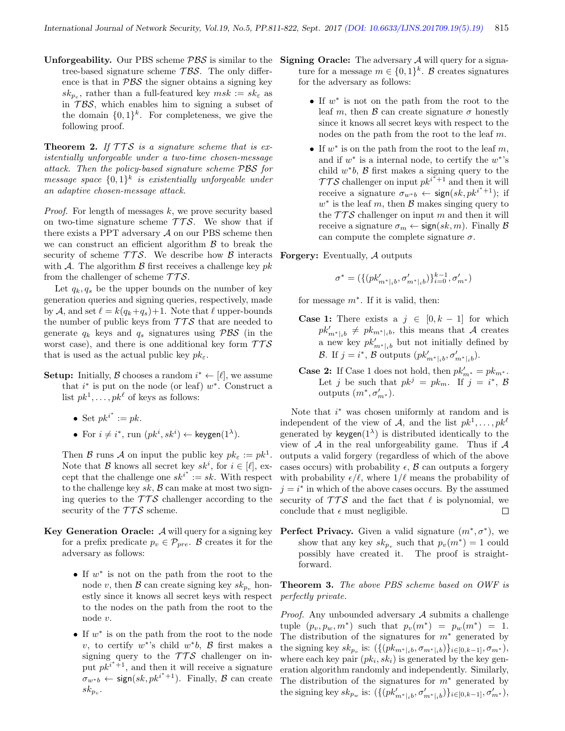**Unforgeability.** Our PBS scheme  $\mathcal{PBS}$  is similar to the tree-based signature scheme  $\mathcal{TBS}$ . The only difference is that in  $PBS$  the signer obtains a signing key  $sk_{p_v}$ , rather than a full-featured key  $msk := sk_{\varepsilon}$  as in  $TBS$ , which enables him to signing a subset of the domain  $\{0,1\}^k$ . For completeness, we give the following proof.

**Theorem 2.** If  $TTS$  is a signature scheme that is existentially unforgeable under a two-time chosen-message attack. Then the policy-based signature scheme PBS for message space  $\{0,1\}^k$  is existentially unforgeable under an adaptive chosen-message attack.

*Proof.* For length of messages  $k$ , we prove security based on two-time signature scheme  $TTS$ . We show that if there exists a PPT adversary  $A$  on our PBS scheme then we can construct an efficient algorithm  $\beta$  to break the security of scheme  $TTS$ . We describe how B interacts with A. The algorithm  $\beta$  first receives a challenge key pk from the challenger of scheme  $TTS$ .

Let  $q_k, q_s$  be the upper bounds on the number of key generation queries and signing queries, respectively, made by A, and set  $\ell = k(q_k+q_s)+1$ . Note that  $\ell$  upper-bounds the number of public keys from  $TTS$  that are needed to generate  $q_k$  keys and  $q_s$  signatures using  $\mathcal{PBS}$  (in the worst case), and there is one additional key form  $TTS$ that is used as the actual public key  $pk_{\varepsilon}$ .

- **Setup:** Initially,  $\beta$  chooses a random  $i^* \leftarrow [\ell]$ , we assume that  $i^*$  is put on the node (or leaf)  $w^*$ . Construct a list  $pk<sup>1</sup>, \ldots, pk<sup>\ell</sup>$  of keys as follows:
	- Set  $pk^{i^*} := pk$ .
	- For  $i \neq i^*$ , run  $(pk^i, sk^i) \leftarrow \text{keygen}(1^{\lambda})$ .

Then B runs A on input the public key  $pk_{\varepsilon} := pk^1$ . Note that  $\mathcal{B}$  knows all secret key  $sk^i$ , for  $i \in [\ell],$  except that the challenge one  $sk^{i^*} := sk$ . With respect to the challenge key  $sk$ ,  $\beta$  can make at most two signing queries to the  $TTS$  challenger according to the security of the  $TTS$  scheme.

- Key Generation Oracle:  $A$  will query for a signing key for a prefix predicate  $p_v \in \mathcal{P}_{pre}$ . B creates it for the adversary as follows:
	- If w ∗ is not on the path from the root to the node v, then B can create signing key  $sk_{p_n}$  honestly since it knows all secret keys with respect to the nodes on the path from the root to the node v.
	- If  $w^*$  is on the path from the root to the node v, to certify  $w^*$ 's child  $w^*b$ ,  $\beta$  first makes a signing query to the  $TTS$  challenger on input  $p\ddot{k}^{i^*+1}$ , and then it will receive a signature  $\sigma_{w^*b} \leftarrow \text{sign}(sk, pk^{i^*+1})$ . Finally, B can create  $sk_{p_v}$ .
- **Signing Oracle:** The adversary  $A$  will query for a signature for a message  $m \in \{0,1\}^k$ . B creates signatures for the adversary as follows:
	- If w ∗ is not on the path from the root to the leaf m, then  $\beta$  can create signature  $\sigma$  honestly since it knows all secret keys with respect to the nodes on the path from the root to the leaf m.
	- If  $w^*$  is on the path from the root to the leaf  $m$ , and if  $w^*$  is a internal node, to certify the  $w^*$ 's child  $w^*b$ ,  $\beta$  first makes a signing query to the  $TTS$  challenger on input  $pk^{i^{*}+1}$  and then it will receive a signature  $\sigma_{w*b}$  ← sign $(sk, pk^{i^*+1})$ ; if  $w^*$  is the leaf m, then  $\mathcal{B}$  makes singing query to the  $TTS$  challenger on input m and then it will receive a signature  $\sigma_m \leftarrow \text{sign}(sk, m)$ . Finally  $\beta$ can compute the complete signature  $\sigma$ .

Forgery: Eventually, A outputs

$$
\sigma^* = (\{(pk'_{{m^*} |_{i}b}, \sigma'_{{m^*} |_{i}b})\}_{i=0}^{k-1}, \sigma'_{{m^*}})
$$

for message  $m^*$ . If it is valid, then:

- **Case 1:** There exists a  $j \in [0, k-1]$  for which  $pk'_{m^*|ib} \neq pk_{m^*|ib}$ , this means that A creates a new key  $pk'_{m^*|i}$  but not initially defined by B. If  $j = i^*$ , B outputs  $(pk'_{m^*|i}, \sigma'_{m^*|i})$ .
- **Case 2:** If Case 1 does not hold, then  $pk'_{m^*} = pk_{m^*}$ . Let j be such that  $pk^j = pk_m$ . If  $j = i^*$ , B outputs  $(m^*, \sigma'_{m^*})$ .

Note that  $i^*$  was chosen uniformly at random and is independent of the view of A, and the list  $pk^1, \ldots, pk^\ell$ generated by keygen $(1^{\lambda})$  is distributed identically to the view of  $A$  in the real unforgeability game. Thus if  $A$ outputs a valid forgery (regardless of which of the above cases occurs) with probability  $\epsilon$ ,  $\beta$  can outputs a forgery with probability  $\epsilon/\ell$ , where  $1/\ell$  means the probability of  $j = i^*$  in which of the above cases occurs. By the assumed security of  $TTS$  and the fact that  $\ell$  is polynomial, we conclude that  $\epsilon$  must negligible.  $\Box$ 

Perfect Privacy. Given a valid signature  $(m^*, \sigma^*)$ , we show that any key  $sk_{p_v}$  such that  $p_v(m^*) = 1$  could possibly have created it. The proof is straightforward.

Theorem 3. The above PBS scheme based on OWF is perfectly private.

*Proof.* Any unbounded adversary  $A$  submits a challenge tuple  $(p_v, p_w, m^*)$  such that  $p_v(m^*) = p_w(m^*) = 1$ . The distribution of the signatures for  $m^*$  generated by the signing key  $sk_{p_v}$  is:  $({{(p k_{m^*|i}, \sigma_{m^*|i})}\}_{i \in [0, k-1]}, \sigma_{m^*})$ , where each key pair  $(pk_i, sk_i)$  is generated by the key generation algorithm randomly and independently. Similarly, The distribution of the signatures for  $m^*$  generated by the signing key  $sk_{p_w}$  is:  $(\{(pk'_{m^*|i}, \sigma'_{m^*|i})\}_{i \in [0, k-1]}, \sigma'_{m^*}),$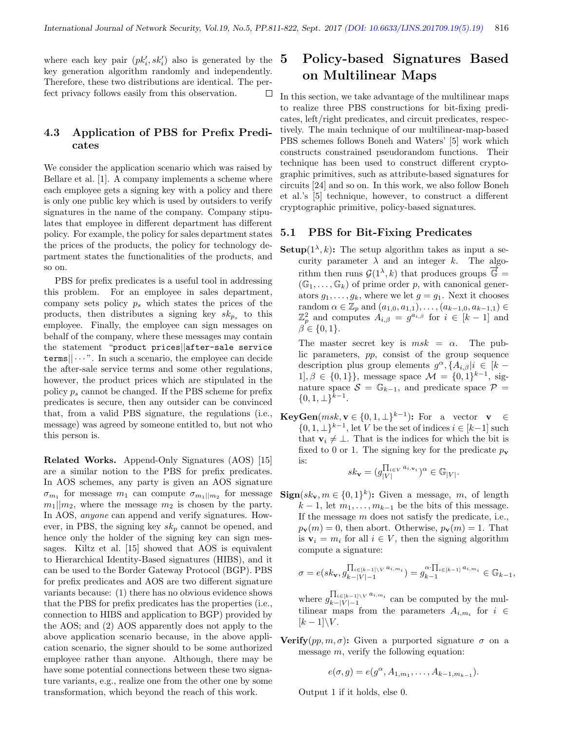where each key pair  $(pk'_i, sk'_i)$  also is generated by the key generation algorithm randomly and independently. Therefore, these two distributions are identical. The perfect privacy follows easily from this observation. ⊔

## 4.3 Application of PBS for Prefix Predicates

We consider the application scenario which was raised by Bellare et al. [1]. A company implements a scheme where each employee gets a signing key with a policy and there is only one public key which is used by outsiders to verify signatures in the name of the company. Company stipulates that employee in different department has different policy. For example, the policy for sales department states the prices of the products, the policy for technology department states the functionalities of the products, and so on.

PBS for prefix predicates is a useful tool in addressing this problem. For an employee in sales department, company sets policy  $p_s$  which states the prices of the products, then distributes a signing key  $sk_{p_s}$  to this employee. Finally, the employee can sign messages on behalf of the company, where these messages may contain the statement "product prices||after-sale service  $\text{terms}|| \cdots$ ". In such a scenario, the employee can decide the after-sale service terms and some other regulations, however, the product prices which are stipulated in the policy  $p_s$  cannot be changed. If the PBS scheme for prefix predicates is secure, then any outsider can be convinced that, from a valid PBS signature, the regulations (i.e., message) was agreed by someone entitled to, but not who this person is.

Related Works. Append-Only Signatures (AOS) [15] are a similar notion to the PBS for prefix predicates. In AOS schemes, any party is given an AOS signature  $\sigma_{m_1}$  for message  $m_1$  can compute  $\sigma_{m_1||m_2}$  for message  $m_1||m_2$ , where the message  $m_2$  is chosen by the party. In AOS, anyone can append and verify signatures. However, in PBS, the signing key  $sk_p$  cannot be opened, and hence only the holder of the signing key can sign messages. Kiltz et al. [15] showed that AOS is equivalent to Hierarchical Identity-Based signatures (HIBS), and it can be used to the Border Gateway Protocol (BGP). PBS for prefix predicates and AOS are two different signature variants because: (1) there has no obvious evidence shows that the PBS for prefix predicates has the properties (i.e., connection to HIBS and application to BGP) provided by the AOS; and (2) AOS apparently does not apply to the above application scenario because, in the above application scenario, the signer should to be some authorized employee rather than anyone. Although, there may be have some potential connections between these two signature variants, e.g., realize one from the other one by some transformation, which beyond the reach of this work.

# 5 Policy-based Signatures Based on Multilinear Maps

In this section, we take advantage of the multilinear maps to realize three PBS constructions for bit-fixing predicates, left/right predicates, and circuit predicates, respectively. The main technique of our multilinear-map-based PBS schemes follows Boneh and Waters' [5] work which constructs constrained pseudorandom functions. Their technique has been used to construct different cryptographic primitives, such as attribute-based signatures for circuits [24] and so on. In this work, we also follow Boneh et al.'s [5] technique, however, to construct a different cryptographic primitive, policy-based signatures.

#### 5.1 PBS for Bit-Fixing Predicates

**Setup** $(1^{\lambda}, k)$ : The setup algorithm takes as input a security parameter  $\lambda$  and an integer k. The algorithm then runs  $\mathcal{G}(1^{\lambda}, k)$  that produces groups  $\vec{\mathbb{G}} =$  $(\mathbb{G}_1, \ldots, \mathbb{G}_k)$  of prime order p, with canonical generators  $g_1, \ldots, g_k$ , where we let  $g = g_1$ . Next it chooses random  $\alpha \in \mathbb{Z}_p$  and  $(a_{1,0}, a_{1,1}), \ldots, (a_{k-1,0}, a_{k-1,1}) \in$  $\mathbb{Z}_p^2$  and computes  $A_{i,\beta} = g^{a_{i,\beta}}$  for  $i \in [k-1]$  and  $\beta \in \{0,1\}.$ 

The master secret key is  $msk = \alpha$ . The public parameters, pp, consist of the group sequence description plus group elements  $g^{\alpha}, \{A_{i,\beta}|i \in [k-1]\}$  $1, \beta \in \{0, 1\}$ , message space  $\mathcal{M} = \{0, 1\}^{k-1}$ , signature space  $S = \mathbb{G}_{k-1}$ , and predicate space  $\mathcal{P} =$  $\{0, 1, \perp\}^{k-1}.$ 

**KeyGen** $(msk, v \in \{0, 1, \perp\}^{k-1})$ : For a vector  $v \in$  $\{0, 1, \perp\}^{k-1}$ , let V be the set of indices  $i \in [k-1]$  such that  $\mathbf{v}_i \neq \perp$ . That is the indices for which the bit is fixed to 0 or 1. The signing key for the predicate  $p_{\mathbf{v}}$ is:

$$
sk_{\mathbf{v}} = (g_{|V|}^{\prod_{i \in V} a_{i, \mathbf{v}_i}})^{\alpha} \in \mathbb{G}_{|V|}.
$$

 $\textbf{Sign}(sk_{\mathbf{v}}, m \in \{0,1\}^k)$ : Given a message, m, of length  $k-1$ , let  $m_1, \ldots, m_{k-1}$  be the bits of this message. If the message  $m$  does not satisfy the predicate, i.e.,  $p_{\mathbf{v}}(m) = 0$ , then abort. Otherwise,  $p_{\mathbf{v}}(m) = 1$ . That is  $v_i = m_i$  for all  $i \in V$ , then the signing algorithm compute a signature:

$$
\sigma = e(s k_{\mathbf{v}}, g_{k-|V|-1}^{\prod_{i \in [k-1] \setminus V} a_{i, m_i}}) = g_{k-1}^{\alpha \cdot \prod_{i \in [k-1]} a_{i, m_i}} \in \mathbb{G}_{k-1},
$$

where  $g_{k-1}^{\prod_{i\in[k-1]\setminus V}a_{i,m_i}}$  $\lim_{k-|V|-1}$   $\lim_{k\to\infty}$  can be computed by the multilinear maps from the parameters  $A_{i,m_i}$  for  $i \in$  $[k-1]\backslash V$ .

**Verify** $(pp, m, \sigma)$ : Given a purported signature  $\sigma$  on a message  $m$ , verify the following equation:

$$
e(\sigma, g) = e(g^{\alpha}, A_{1,m_1}, \dots, A_{k-1,m_{k-1}}).
$$

Output 1 if it holds, else 0.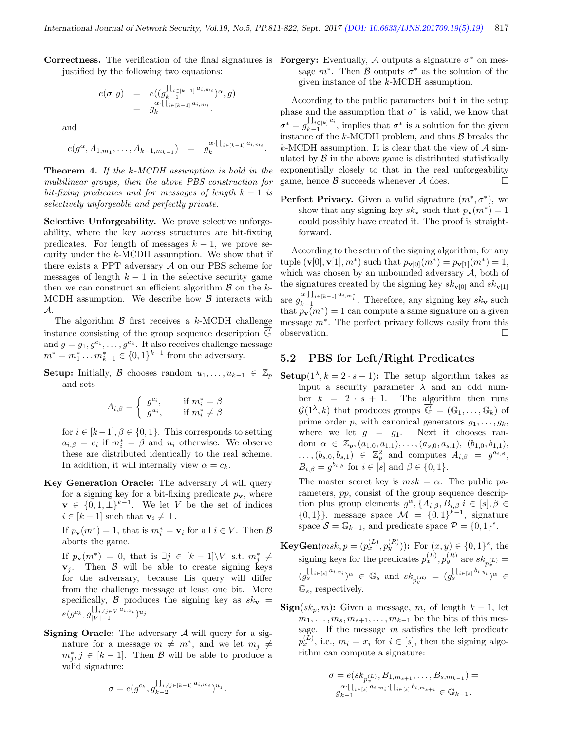Correctness. The verification of the final signatures is Forgery: Eventually, A outputs a signature  $\sigma^*$  on mesjustified by the following two equations:

$$
e(\sigma, g) = e((g_{k-1}^{\prod_{i \in [k-1]} a_i, m_i})^{\alpha}, g)
$$
  
=  $g_k^{\alpha \cdot \prod_{i \in [k-1]} a_i, m_i}$ .

and

$$
e(g^{\alpha}, A_{1,m_1}, \ldots, A_{k-1,m_{k-1}}) = g_k^{\alpha \cdot \prod_{i \in [k-1]} a_{i,m_i}}.
$$

**Theorem 4.** If the k-MCDH assumption is hold in the multilinear groups, then the above PBS construction for bit-fixing predicates and for messages of length  $k - 1$  is selectively unforgeable and perfectly private.

Selective Unforgeability. We prove selective unforgeability, where the key access structures are bit-fixting predicates. For length of messages  $k - 1$ , we prove security under the k-MCDH assumption. We show that if there exists a PPT adversary A on our PBS scheme for messages of length  $k - 1$  in the selective security game then we can construct an efficient algorithm  $\beta$  on the k-MCDH assumption. We describe how  $\beta$  interacts with A.

The algorithm  $\beta$  first receives a k-MCDH challenge instance consisting of the group sequence description  $\mathbb{G}$ and  $g = g_1, g^{c_1}, \ldots, g^{c_k}$ . It also receives challenge message  $m^* = m_1^* \dots m_{k-1}^* \in \{0,1\}^{k-1}$  from the adversary.

Setup: Initially, B chooses random  $u_1, \ldots, u_{k-1} \in \mathbb{Z}_p$ and sets

$$
A_{i,\beta} = \begin{cases} g^{c_i}, & \text{if } m_i^* = \beta \\ g^{u_i}, & \text{if } m_i^* \neq \beta \end{cases}
$$

for  $i \in [k-1], \beta \in \{0,1\}$ . This corresponds to setting  $a_{i,\beta} = c_i$  if  $m_i^* = \beta$  and  $u_i$  otherwise. We observe these are distributed identically to the real scheme. In addition, it will internally view  $\alpha = c_k$ .

Key Generation Oracle: The adversary  $A$  will query for a signing key for a bit-fixing predicate  $p_{\mathbf{v}}$ , where  $\mathbf{v} \in \{0, 1, \perp\}^{k-1}$ . We let V be the set of indices  $i \in [k-1]$  such that  $\mathbf{v}_i \neq \perp$ .

If  $p_{\mathbf{v}}(m^*) = 1$ , that is  $m_i^* = \mathbf{v}_i$  for all  $i \in V$ . Then  $\mathcal{B}$ aborts the game.

If  $p_{\mathbf{v}}(m^*) = 0$ , that is  $\exists j \in [k-1] \backslash V$ , s.t.  $m_j^* \neq$  $v_j$ . Then  $\beta$  will be able to create signing keys for the adversary, because his query will differ from the challenge message at least one bit. More specifically, B produces the signing key as  $sk_v$  =  $e(g^{c_k},g_{|V|-1}^{\prod_{i\neq j\in V}a_{i,x_i}})^{u_j}.$ 

**Signing Oracle:** The adversary  $A$  will query for a signature for a message  $m \neq m^*$ , and we let  $m_j \neq$  $m_j^*, j \in [k-1]$ . Then B will be able to produce a valid signature:

$$
\sigma = e(g^{c_k}, g_{k-2}^{\prod_{i \neq j \in [k-1]} a_{i,m_i}})^{u_j}.
$$

sage  $m^*$ . Then  $\beta$  outputs  $\sigma^*$  as the solution of the given instance of the k-MCDH assumption.

According to the public parameters built in the setup phase and the assumption that  $\sigma^*$  is valid, we know that  $\sigma^* = g^{\prod_{i \in [k]} c_i}_{k=1}$  $\prod_{k=1}^{1} c_i$  is a solution for the given instance of the  $k$ -MCDH problem, and thus  $\beta$  breaks the k-MCDH assumption. It is clear that the view of  $\mathcal{A}$  simulated by  $\beta$  in the above game is distributed statistically exponentially closely to that in the real unforgeability game, hence  $\beta$  succeeds whenever  $\mathcal A$  does.

**Perfect Privacy.** Given a valid signature  $(m^*, \sigma^*)$ , we show that any signing key  $sk_v$  such that  $p_v(m^*) = 1$ could possibly have created it. The proof is straightforward.

According to the setup of the signing algorithm, for any tuple  $(\mathbf{v}[0], \mathbf{v}[1], m^*)$  such that  $p_{\mathbf{v}[0]}(m^*) = p_{\mathbf{v}[1]}(m^*) = 1$ , which was chosen by an unbounded adversary  $A$ , both of the signatures created by the signing key  $sk_{\mathbf{v}[0]}$  and  $sk_{\mathbf{v}[1]}$ are  $g_{k-1}^{\alpha \cdot \prod_{i \in [k-1]} a_{i,m_i^*}}$ . Therefore, any signing key  $sk_{\mathbf{v}}$  such that  $p_{\mathbf{v}}(m^*) = 1$  can compute a same signature on a given message m<sup>∗</sup> . The perfect privacy follows easily from this observation.

#### 5.2 PBS for Left/Right Predicates

Setup $(1^{\lambda}, k = 2 \cdot s + 1)$ : The setup algorithm takes as input a security parameter  $\lambda$  and an odd number  $k = 2 \cdot s + 1$ . The algorithm then runs  $\mathcal{G}(1^{\lambda}, k)$  that produces groups  $\overrightarrow{\mathbb{G}} = (\mathbb{G}_1, \dots, \mathbb{G}_k)$  of prime order p, with canonical generators  $g_1, \ldots, g_k$ , where we let  $q = q_1$ . Next it chooses random  $\alpha \in \mathbb{Z}_p$ ,  $(a_{1,0}, a_{1,1}), \ldots, (a_{s,0}, a_{s,1}), (b_{1,0}, b_{1,1}),$  $\dots, (b_{s,0}, b_{s,1}) \in \mathbb{Z}_p^2$  and computes  $A_{i,\beta} = g^{a_{i,\beta}},$  $B_{i,\beta} = g^{b_{i,\beta}}$  for  $i \in [s]$  and  $\beta \in \{0,1\}.$ 

The master secret key is  $msk = \alpha$ . The public parameters, pp, consist of the group sequence description plus group elements  $g^{\alpha}, \{A_{i,\beta}, B_{i,\beta}|i \in [s], \beta \in$  $\{0,1\}\}\,$ , message space  $\mathcal{M} = \{0,1\}^{k-1}$ , signature space  $S = \mathbb{G}_{k-1}$ , and predicate space  $\mathcal{P} = \{0, 1\}^s$ .

- **KeyGen** $(msk, p = (p_x^{(L)}, p_y^{(R)}))$ : For  $(x, y) \in \{0, 1\}^s$ , the signing keys for the predicates  $p_x^{(L)}$ ,  $p_y^{(R)}$  are  $sk_{p_x^{(L)}} =$  $(g_s^{\prod_{i\in[s]} a_{i,x_i}})^{\alpha} \in \mathbb{G}_s$  and  $sk_{p_y^{(R)}} = (g_s^{\prod_{i\in[s]} b_{i,y_i}})^{\alpha} \in$  $\mathbb{G}_s$ , respectively.
- ${\bf Sign}(sk_p,m)$ : Given a message, m, of length  $k-1$ , let  $m_1, \ldots, m_s, m_{s+1}, \ldots, m_{k-1}$  be the bits of this message. If the message  $m$  satisfies the left predicate  $p_x^{(L)}$ , i.e.,  $m_i = x_i$  for  $i \in [s]$ , then the signing algorithm can compute a signature:

$$
\sigma = e(sk_{p_x^{(L)}}, B_{1,m_{s+1}}, \dots, B_{s,m_{k-1}}) =
$$
  
\n
$$
g_{k-1}^{\alpha \cdot \prod_{i \in [s]} a_{i,m_i} \cdot \prod_{i \in [s]} b_{i,m_{s+i}} \in \mathbb{G}_{k-1}.
$$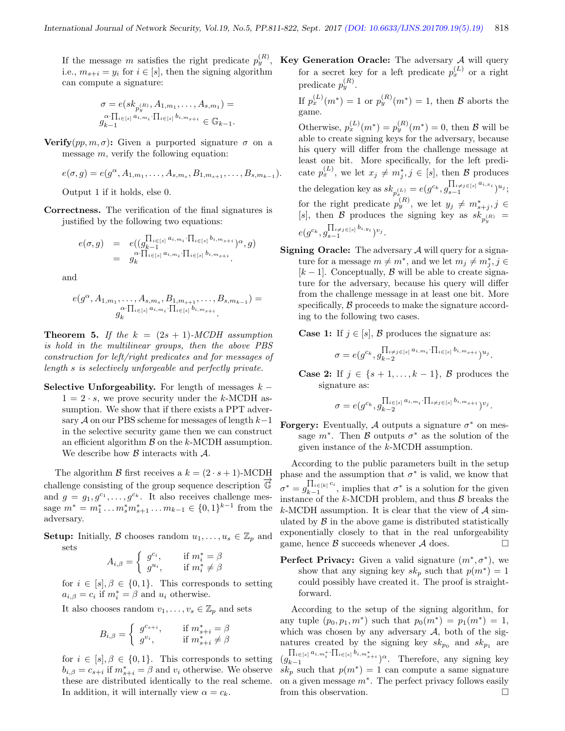i.e.,  $m_{s+i} = y_i$  for  $i \in [s]$ , then the signing algorithm can compute a signature:

$$
\sigma = e(sk_{p_y^{(R)}}, A_{1,m_1}, \dots, A_{s,m_1}) =
$$
  

$$
g_{k-1}^{\alpha \cdot \prod_{i \in [s]} a_{i,m_i} \cdot \prod_{i \in [s]} b_{i,m_{s+i}} \in \mathbb{G}_{k-1}.
$$

**Verify** $(pp, m, \sigma)$ : Given a purported signature  $\sigma$  on a message  $m$ , verify the following equation:

$$
e(\sigma, g) = e(g^{\alpha}, A_{1,m_1}, \dots, A_{s,m_s}, B_{1,m_{s+1}}, \dots, B_{s,m_{k-1}}).
$$

Output 1 if it holds, else 0.

Correctness. The verification of the final signatures is justified by the following two equations:

$$
e(\sigma, g) = e((\mathcal{G}_{k-1}^{\prod_{i \in [s]} a_{i, m_i} \cdot \prod_{i \in [s]} b_{i, m_{s+i}}})^{\alpha} \sigma, g)
$$
  
= 
$$
g_k^{\alpha \cdot \prod_{i \in [s]} a_{i, m_i} \cdot \prod_{i \in [s]} b_{i, m_{s+i}}}
$$

and

$$
e(g^{\alpha}, A_{1,m_1}, \ldots, A_{s,m_s}, B_{1,m_{s+1}}, \ldots, B_{s,m_{k-1}}) =
$$
  

$$
g_k^{\alpha \cdot \prod_{i \in [s]} a_{i,m_i} \cdot \prod_{i \in [s]} b_{i,m_{s+i}}}.
$$

**Theorem 5.** If the  $k = (2s + 1)$ -MCDH assumption is hold in the multilinear groups, then the above PBS construction for left/right predicates and for messages of length s is selectively unforgeable and perfectly private.

Selective Unforgeability. For length of messages  $k 1 = 2 \cdot s$ , we prove security under the k-MCDH assumption. We show that if there exists a PPT adversary A on our PBS scheme for messages of length  $k-1$ in the selective security game then we can construct an efficient algorithm  $\beta$  on the k-MCDH assumption. We describe how  $\beta$  interacts with  $\mathcal{A}$ .

The algorithm B first receives a  $k = (2 \cdot s + 1)$ -MCDH challenge consisting of the group sequence description  $\mathbb{G}$ and  $g = g_1, g^{c_1}, \ldots, g^{c_k}$ . It also receives challenge message  $m^* = m_1^* \dots m_s^* m_{s+1}^* \dots m_{k-1} \in \{0,1\}^{k-1}$  from the adversary.

**Setup:** Initially, B chooses random  $u_1, \ldots, u_s \in \mathbb{Z}_p$  and sets

$$
A_{i,\beta} = \begin{cases} g^{c_i}, & \text{if } m_i^* = \beta \\ g^{u_i}, & \text{if } m_i^* \neq \beta \end{cases}
$$

for  $i \in [s], \beta \in \{0,1\}$ . This corresponds to setting  $a_{i,\beta} = c_i$  if  $m_i^* = \beta$  and  $u_i$  otherwise.

It also chooses random  $v_1, \ldots, v_s \in \mathbb{Z}_p$  and sets

$$
B_{i,\beta} = \begin{cases} g^{c_{s+i}}, & \text{if } m^*_{s+i} = \beta \\ g^{v_i}, & \text{if } m^*_{s+i} \neq \beta \end{cases}
$$

for  $i \in [s], \beta \in \{0,1\}$ . This corresponds to setting  $b_{i,\beta} = c_{s+i}$  if  $m_{s+i}^* = \beta$  and  $v_i$  otherwise. We observe these are distributed identically to the real scheme. In addition, it will internally view  $\alpha = c_k$ .

If the message m satisfies the right predicate  $p_y^{(R)}$ , Key Generation Oracle: The adversary A will query for a secret key for a left predicate  $p_x^{(L)}$  or a right predicate  $p_y^{(R)}$ .

> If  $p_x^{(L)}(m^*) = 1$  or  $p_y^{(R)}(m^*) = 1$ , then  $\mathcal B$  aborts the game.

Otherwise,  $p_x^{(L)}(m^*) = p_y^{(R)}(m^*) = 0$ , then B will be able to create signing keys for the adversary, because his query will differ from the challenge message at least one bit. More specifically, for the left predicate  $p_x^{(L)}$ , we let  $x_j \neq m_j^*, j \in [s]$ , then  $\mathcal{B}$  produces the delegation key as  $sk_{p_{x}^{(L)}} = e(g^{c_k}, g_{s-1}^{\prod_{i \neq j \in [s]} a_{i,x_i}})^{u_j};$ for the right predicate  $p_y^{(R)}$ , we let  $y_j \neq m^*_{s+j}, j \in$ [s], then B produces the signing key as  $sk_{p_y^{(R)}} =$  $e(g^{c_k}, g^{\prod_{i \neq j \in [s]} b_{i,y_i}}_{s-1})^{v_j}.$ 

**Signing Oracle:** The adversary  $A$  will query for a signature for a message  $m \neq m^*$ , and we let  $m_j \neq m^*_j$ ,  $j \in$  $[k-1]$ . Conceptually, B will be able to create signature for the adversary, because his query will differ from the challenge message in at least one bit. More specifically,  $\beta$  proceeds to make the signature according to the following two cases.

**Case 1:** If  $j \in [s], \mathcal{B}$  produces the signature as:

$$
\sigma = e(g^{c_k}, g_{k-2}^{\prod_{i \neq j \in [s]} a_{i,m_i} \cdot \prod_{i \in [s]} b_{i,m_{s+i}}})^{u_j}.
$$

**Case 2:** If  $j \in \{s+1,\ldots,k-1\}$ , B produces the signature as:

$$
\sigma = e(g^{c_k}, g_{k-2}^{\prod_{i \in [s]} a_{i, m_i} \cdot \prod_{i \neq j \in [s]} b_{i, m_{s+i}}})^{v_j}.
$$

**Forgery:** Eventually, A outputs a signature  $\sigma^*$  on message  $m^*$ . Then  $\beta$  outputs  $\sigma^*$  as the solution of the given instance of the k-MCDH assumption.

According to the public parameters built in the setup phase and the assumption that  $\sigma^*$  is valid, we know that  $\sigma^* = g^{\prod_{i \in [k]} c_i}_{k=1}$  $\prod_{k=1}^{1} c_i$  is a solution for the given instance of the  $k$ -MCDH problem, and thus  $B$  breaks the  $k$ -MCDH assumption. It is clear that the view of  $A$  simulated by  $\beta$  in the above game is distributed statistically exponentially closely to that in the real unforgeability game, hence  $\beta$  succeeds whenever  $\mathcal A$  does.

**Perfect Privacy:** Given a valid signature  $(m^*, \sigma^*)$ , we show that any signing key  $sk_p$  such that  $p(m^*) = 1$ could possibly have created it. The proof is straightforward.

According to the setup of the signing algorithm, for any tuple  $(p_0, p_1, m^*)$  such that  $p_0(m^*) = p_1(m^*) = 1$ , which was chosen by any adversary  $A$ , both of the signatures created by the signing key  $sk_{p_0}$  and  $sk_{p_1}$  are  $(g_{k-1}^{\prod_{i\in[s]}a_{i,m_i^*}\cdot\prod_{i\in[s]}b_{i,m_{s+i}^*})^{\alpha}$ . Therefore, any signing key  $sk_p$  such that  $p(m^*) = 1$  can compute a same signature on a given message  $m^*$ . The perfect privacy follows easily from this observation.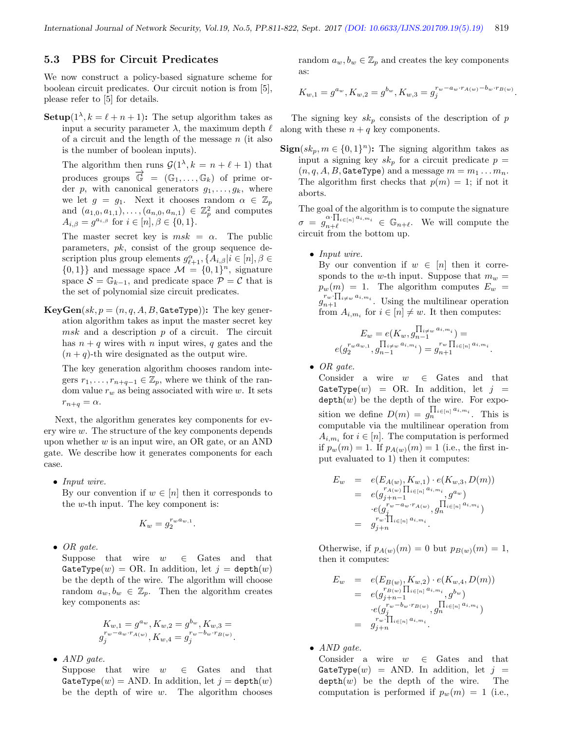### 5.3 PBS for Circuit Predicates

We now construct a policy-based signature scheme for boolean circuit predicates. Our circuit notion is from [5], please refer to [5] for details.

**Setup** $(1^{\lambda}, k = \ell + n + 1)$ : The setup algorithm takes as input a security parameter  $\lambda$ , the maximum depth  $\ell$ of a circuit and the length of the message  $n$  (it also is the number of boolean inputs).

The algorithm then runs  $\mathcal{G}(1^{\lambda}, k = n + \ell + 1)$  that produces groups  $\overline{\mathbb{G}} = (\mathbb{G}_1, \ldots, \mathbb{G}_k)$  of prime order p, with canonical generators  $g_1, \ldots, g_k$ , where we let  $g = g_1$ . Next it chooses random  $\alpha \in \mathbb{Z}_p$ and  $(a_{1,0}, a_{1,1}), \ldots, (a_{n,0}, a_{n,1}) \in \mathbb{Z}_p^2$  and computes  $A_{i,\beta} = g^{a_{i,\beta}}$  for  $i \in [n], \beta \in \{0,1\}.$ 

The master secret key is  $msk = \alpha$ . The public parameters,  $pk$ , consist of the group sequence description plus group elements  $g_{\ell+1}^{\alpha}, \{A_{i,\beta}|i\in [n], \beta\in$  $\{0,1\}\}\$ and message space  $\mathcal{M} = \{0,1\}^n$ , signature space  $S = \mathbb{G}_{k-1}$ , and predicate space  $\mathcal{P} = \mathcal{C}$  that is the set of polynomial size circuit predicates.

 $KeyGen(sk, p = (n, q, A, B, GateType))$ : The key generation algorithm takes as input the master secret key  $msk$  and a description  $p$  of a circuit. The circuit has  $n + q$  wires with n input wires, q gates and the  $(n + q)$ -th wire designated as the output wire.

The key generation algorithm chooses random integers  $r_1, \ldots, r_{n+q-1} \in \mathbb{Z}_p$ , where we think of the random value  $r_w$  as being associated with wire w. It sets  $r_{n+q} = \alpha.$ 

Next, the algorithm generates key components for every wire w. The structure of the key components depends upon whether  $w$  is an input wire, an OR gate, or an AND gate. We describe how it generates components for each case.

• Input wire.

By our convention if  $w \in [n]$  then it corresponds to the w-th input. The key component is:

$$
K_w = g_2^{r_w a_{w,1}}.
$$

 $\bullet$  OR gate.

Suppose that wire  $w \in$  Gates and that GateType(w) = OR. In addition, let  $j =$  depth(w) be the depth of the wire. The algorithm will choose random  $a_w, b_w \in \mathbb{Z}_n$ . Then the algorithm creates key components as:

$$
K_{w,1} = g^{a_w}, K_{w,2} = g^{b_w}, K_{w,3} =
$$
  

$$
g_j^{r_w - a_w \cdot r_{A(w)}}, K_{w,4} = g_j^{r_w - b_w \cdot r_{B(w)}}.
$$

• AND gate.

Suppose that wire  $w \in$  Gates and that GateType(w) = AND. In addition, let  $j =$  depth(w) be the depth of wire  $w$ . The algorithm chooses random  $a_w, b_w \in \mathbb{Z}_p$  and creates the key components as:

$$
K_{w,1} = g^{a_w}, K_{w,2} = g^{b_w}, K_{w,3} = g_j^{r_w - a_w \cdot r_{A(w)} - b_w \cdot r_{B(w)}}.
$$

The signing key  $sk_p$  consists of the description of p along with these  $n + q$  key components.

 $\textbf{Sign}(sk_p, m \in \{0,1\}^n)$ : The signing algorithm takes as input a signing key  $sk_p$  for a circuit predicate  $p =$  $(n, q, A, B,$  GateType) and a message  $m = m_1 \dots m_n$ . The algorithm first checks that  $p(m) = 1$ ; if not it aborts.

The goal of the algorithm is to compute the signature  $\sigma = g_{n+\ell}^{\alpha \cdot \prod_{i \in [n]} a_{i,m_i}} \in \mathbb{G}_{n+\ell}$ . We will compute the circuit from the bottom up.

• Input wire.

By our convention if  $w \in [n]$  then it corresponds to the w-th input. Suppose that  $m_w =$  $p_w(m) = 1$ . The algorithm computes  $E_w =$  $g_{n+1}^{r_w \cdot \prod_{i \neq w} a_{i,m_i}}$ . Using the multilinear operation from  $A_{i,m_i}$  for  $i \in [n] \neq w$ . It then computes:

$$
E_w = e(K_w, g_{n-1}^{\prod_{i \neq w} a_i, m_i}) =
$$
  

$$
e(g_2^{r_w a_{w,1}}, g_{n-1}^{\prod_{i \neq w} a_i, m_i}) = g_{n+1}^{r_w \prod_{i \in [n]} a_i, m_i}.
$$

 $\bullet$  OR gate.

Consider a wire  $w \in$  Gates and that GateType $(w)$  = OR. In addition, let  $j =$  $depth(w)$  be the depth of the wire. For exposition we define  $D(m) = g_n^{\prod_{i \in [n]} a_{i,m_i}}$ . This is computable via the multilinear operation from  $A_{i,m_i}$  for  $i \in [n]$ . The computation is performed if  $p_w(m) = 1$ . If  $p_{A(w)}(m) = 1$  (i.e., the first input evaluated to 1) then it computes:

$$
E_w = e(E_{A(w)}, K_{w,1}) \cdot e(K_{w,3}, D(m))
$$
  
=  $e(g_{j+n-1}^{r_{A(w)} \prod_{i \in [n]} a_{i,m_i}}, g^{a_w})$   
 $\cdot e(g_j^{r_w - a_{w} \cdot r_{A(w)}}, g_n^{\prod_{i \in [n]} a_{i,m_i}})$   
=  $g_{j+n}^{r_w \cdot \prod_{i \in [n]} a_{i,m_i}}.$ 

Otherwise, if  $p_{A(w)}(m) = 0$  but  $p_{B(w)}(m) = 1$ , then it computes:

$$
E_w = e(E_{B(w)}, K_{w,2}) \cdot e(K_{w,4}, D(m))
$$
  
=  $e(g_{j+n-1}^{r_{B(w)} \prod_{i \in [n]} a_{i,m_i}} g^{b_w})$   
 $\cdot e(g_j^{r_w - b_w \cdot r_{B(w)}}, g_n^{\prod_{i \in [n]} a_{i,m_i}})$   
=  $g_{j+n}^{r_w \cdot \prod_{i \in [n]} a_{i,m_i}}$ .

• AND gate.

Consider a wire  $w \in$  Gates and that GateType(w) = AND. In addition, let  $j =$  $depth(w)$  be the depth of the wire. The computation is performed if  $p_w(m) = 1$  (i.e.,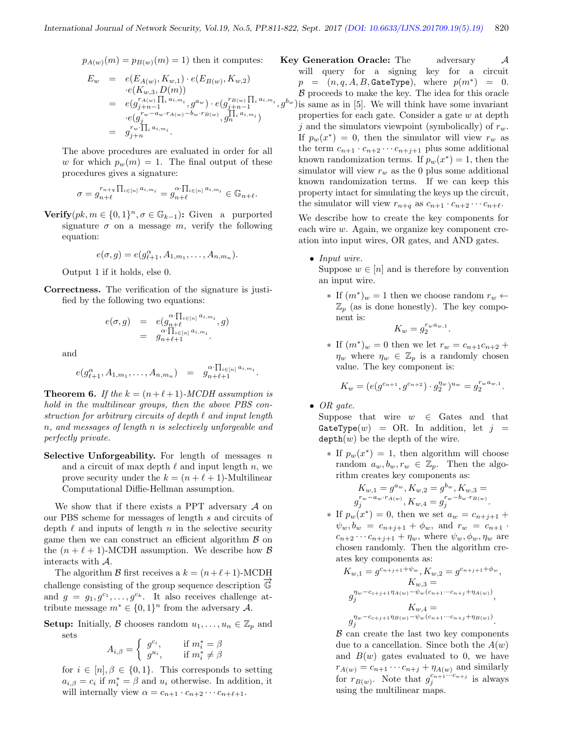$$
p_{A(w)}(m) = p_{B(w)}(m) = 1
$$
 then it computes:

$$
E_w = e(E_{A(w)}, K_{w,1}) \cdot e(E_{B(w)}, K_{w,2})
$$
  
\n
$$
= e(K_{w,3}, D(m))
$$
  
\n
$$
= e(g_{j+n-1}^{r_{A(w)}} \prod_i a_{i,m_i}, g^{a_w}) \cdot e(g_{j+n-1}^{r_{B(w)}} \prod_i a_{i,m_i}, g^{b_i}
$$
  
\n
$$
\cdot e(g_j^{r_w - a_w \cdot r_{A(w)} - b_w \cdot r_{B(w)}} g_n^{\prod_i a_{i,m_i}})
$$
  
\n
$$
= g_{j+n}^{r_w}.
$$

The above procedures are evaluated in order for all w for which  $p_w(m) = 1$ . The final output of these procedures gives a signature:

$$
\sigma = g_{n+\ell}^{r_{n+q}} \prod_{i \in [n]} a_{i,m_i} = g_{n+\ell}^{\alpha \cdot \prod_{i \in [n]} a_{i,m_i}} \in \mathbb{G}_{n+\ell}.
$$

**Verify** $(pk, m \in \{0, 1\}^n, \sigma \in \mathbb{G}_{k-1})$ : Given a purported signature  $\sigma$  on a message m, verify the following equation:

$$
e(\sigma,g)=e(g_{\ell+1}^{\alpha},A_{1,m_1},\ldots,A_{n,m_n}).
$$

Output 1 if it holds, else 0.

Correctness. The verification of the signature is justified by the following two equations:

$$
e(\sigma, g) = e(g_{n+\ell}^{\alpha \cdot \prod_{i \in [n]} a_{i, m_i}} g) = g_{n+\ell+1}^{\alpha \cdot \prod_{i \in [n]} a_{i, m_i}}.
$$

and

$$
e(g_{\ell+1}^{\alpha}, A_{1,m_1}, \ldots, A_{n,m_n}) = g_{n+\ell+1}^{\alpha \cdot \prod_{i \in [n]} a_{i,m_i}}.
$$

**Theorem 6.** If the  $k = (n + \ell + 1)$ -MCDH assumption is hold in the multilinear groups, then the above PBS construction for arbitrary circuits of depth  $\ell$  and input length n, and messages of length n is selectively unforgeable and perfectly private.

Selective Unforgeability. For length of messages  $n$ and a circuit of max depth  $\ell$  and input length n, we prove security under the  $k = (n + \ell + 1)$ -Multilinear Computational Diffie-Hellman assumption.

We show that if there exists a PPT adversary  $A$  on our PBS scheme for messages of length s and circuits of depth  $\ell$  and inputs of length n in the selective security game then we can construct an efficient algorithm  $\beta$  on the  $(n + \ell + 1)$ -MCDH assumption. We describe how  $\beta$ interacts with A.

The algorithm B first receives a  $k = (n + \ell + 1)$ -MCDH challenge consisting of the group sequence description  $\mathbb{G}$ and  $g = g_1, g^{c_1}, \ldots, g^{c_k}$ . It also receives challenge attribute message  $m^* \in \{0,1\}^n$  from the adversary A.

**Setup:** Initially, B chooses random  $u_1, \ldots, u_n \in \mathbb{Z}_p$  and sets

$$
A_{i,\beta} = \begin{cases} g^{c_i}, & \text{if } m_i^* = \beta \\ g^{u_i}, & \text{if } m_i^* \neq \beta \end{cases}
$$

for  $i \in [n], \beta \in \{0,1\}$ . This corresponds to setting  $a_{i,\beta} = c_i$  if  $m_i^* = \beta$  and  $u_i$  otherwise. In addition, it will internally view  $\alpha = c_{n+1} \cdot c_{n+2} \cdots c_{n+\ell+1}$ .

 $(g^{b_w})$  is same as in [5]. We will think have some invariant Key Generation Oracle: The adversary A will query for a signing key for a circuit  $p = (n, q, A, B,$  GateType), where  $p(m^*) = 0$ .  $\beta$  proceeds to make the key. The idea for this oracle properties for each gate. Consider a gate w at depth j and the simulators viewpoint (symbolically) of  $r_w$ . If  $p_w(x^*) = 0$ , then the simulator will view  $r_w$  as the term  $c_{n+1} \cdot c_{n+2} \cdots c_{n+j+1}$  plus some additional known randomization terms. If  $p_w(x^*) = 1$ , then the simulator will view  $r_w$  as the 0 plus some additional known randomization terms. If we can keep this property intact for simulating the keys up the circuit, the simulator will view  $r_{n+q}$  as  $c_{n+1} \cdot c_{n+2} \cdots c_{n+\ell}$ .

We describe how to create the key components for each wire w. Again, we organize key component creation into input wires, OR gates, and AND gates.

- Input wire. Suppose  $w \in [n]$  and is therefore by convention an input wire.
	- ∗ If  $(m^*)_w = 1$  then we choose random  $r_w \leftarrow$  $\mathbb{Z}_p$  (as is done honestly). The key component is:

$$
K_w = g_2^{r_w a_{w,1}}.
$$

\* If  $(m^*)_w = 0$  then we let  $r_w = c_{n+1}c_{n+2} +$  $\eta_w$  where  $\eta_w \in \mathbb{Z}_p$  is a randomly chosen value. The key component is:

$$
K_w = (e(g^{c_{n+1}}, g^{c_{n+2}}) \cdot g_2^{\eta_w})^{u_w} = g_2^{r_w a_{w,1}}.
$$

• OR gate.

Suppose that wire  $w \in$  Gates and that GateType $(w)$  = OR. In addition, let  $j =$  $depth(w)$  be the depth of the wire.

∗ If  $p_w(x^*) = 1$ , then algorithm will choose random  $a_w, b_w, r_w \in \mathbb{Z}_p$ . Then the algorithm creates key components as:

$$
K_{w,1} = g^{a_w}, K_{w,2} = g^{b_w}, K_{w,3} = g^{r_w - a_w \cdot r_{A(w)}}, K_{w,4} = g^{r_w - b_w \cdot r_{B(w)}}_j.
$$

\* If  $p_w(x^*) = 0$ , then we set  $a_w = c_{n+j+1} +$  $\psi_w, b_w = c_{n+j+1} + \phi_w$ , and  $r_w = c_{n+1}$ .  $c_{n+2}\cdots c_{n+j+1} + \eta_w$ , where  $\psi_w, \phi_w, \eta_w$  are chosen randomly. Then the algorithm creates key components as:

$$
K_{w,1} = g^{c_{n+j+1} + \psi_w}, K_{w,2} = g^{c_{n+j+1} + \phi_w},
$$
  
\n
$$
K_{w,3} =
$$
  
\n
$$
g_j^{\eta_w - c_{c+j+1}\eta_{A(w)} - \psi_w(c_{n+1}\cdots c_{n+j} + \eta_{A(w)})},
$$
  
\n
$$
K_{w,4} =
$$
  
\n
$$
g_j^{\eta_w - c_{c+j+1}\eta_{B(w)} - \psi_w(c_{n+1}\cdots c_{n+j} + \eta_{B(w)})}.
$$

 $B$  can create the last two key components due to a cancellation. Since both the  $A(w)$ and  $B(w)$  gates evaluated to 0, we have  $r_{A(w)} = c_{n+1} \cdots c_{n+j} + \eta_{A(w)}$  and similarly for  $r_{B(w)}$ . Note that  $g_j^{c_{n+1}\cdots c_{n+j}}$  is always using the multilinear maps.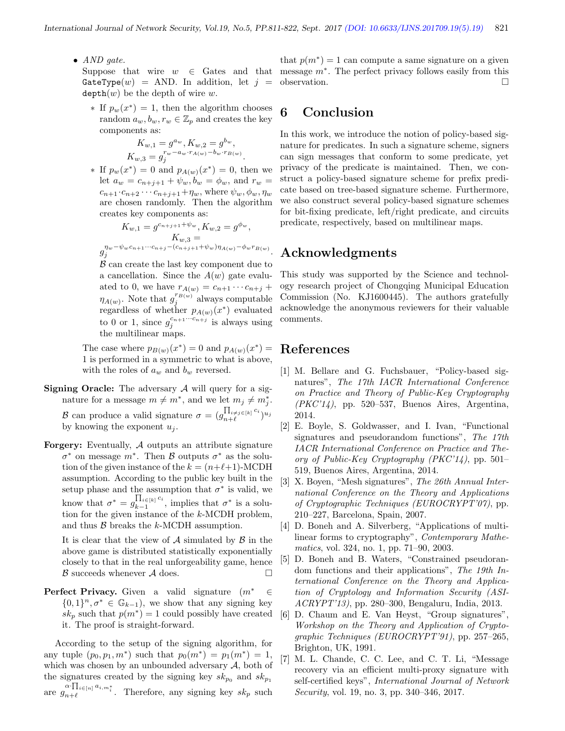• AND gate.

GateType $(w)$  = AND. In addition, let  $j =$  $depth(w)$  be the depth of wire w.

∗ If  $p_w(x^*) = 1$ , then the algorithm chooses random  $a_w, b_w, r_w \in \mathbb{Z}_p$  and creates the key components as:

$$
K_{w,1} = g^{a_w}, K_{w,2} = g^{b_w},
$$
  
\n
$$
K_{w,3} = g_j^{r_w - a_w \cdot r_{A(w)} - b_w \cdot r_{B(w)}}.
$$

\* If  $p_w(x^*) = 0$  and  $p_{A(w)}(x^*) = 0$ , then we let  $a_w = c_{n+j+1} + \psi_w, b_w = \phi_w$ , and  $r_w =$  $c_{n+1} \cdot c_{n+2} \cdot \cdot \cdot c_{n+j+1} + \eta_w$ , where  $\psi_w, \phi_w, \eta_w$ are chosen randomly. Then the algorithm creates key components as:

$$
K_{w,1} = g^{c_{n+j+1} + \psi_w}, K_{w,2} = g^{\phi_w},
$$
  
\n
$$
K_{w,3} =
$$
  
\n
$$
K_{w,1} = (c_{n+1} + \psi_n)_{n \times \phi} = \phi_n
$$

 $g_j^{\eta_w-\psi_w c_{n+1}\cdots c_{n+j}-(c_{n+j+1}+\psi_w)\eta_{A(w)}-\phi_w r_{B(w)}}.$ 

 $\beta$  can create the last key component due to a cancellation. Since the  $A(w)$  gate evaluated to 0, we have  $r_{A(w)} = c_{n+1} \cdots c_{n+j} +$  $\eta_{A(w)}$ . Note that  $g_j^{r_{B(w)}}$  always computable regardless of whether  $p_{A(w)}(x^*)$  evaluated to 0 or 1, since  $g_j^{c_{n+1}\cdots c_{n+j}}$  is always using the multilinear maps.

The case where  $p_{B(w)}(x^*)=0$  and  $p_{A(w)}(x^*)=$ 1 is performed in a symmetric to what is above, with the roles of  $a_w$  and  $b_w$  reversed.

- **Signing Oracle:** The adversary  $\mathcal A$  will query for a signature for a message  $m \neq m^*$ , and we let  $m_j \neq m_j^*$ . B can produce a valid signature  $\sigma = (g_{n+\ell}^{\prod_{i \neq j} \epsilon_{[k]} c_i})$  $\frac{\prod_{i\neq j\in [k]}c_i}{n+\ell}u_j$ by knowing the exponent  $u_i$ .
- **Forgery:** Eventually,  $\mathcal A$  outputs an attribute signature  $\sigma^*$  on message  $m^*$ . Then  $\beta$  outputs  $\sigma^*$  as the solution of the given instance of the  $k = (n+\ell+1)$ -MCDH assumption. According to the public key built in the setup phase and the assumption that  $\sigma^*$  is valid, we know that  $\sigma^* = g_{k-1}^{\prod_{i \in [k]} c_i}$  $\sum_{k=1}^{\prod_i \in [k]} c_i$ , implies that  $\sigma^*$  is a solution for the given instance of the k-MCDH problem, and thus  $\beta$  breaks the k-MCDH assumption.

It is clear that the view of  $\mathcal A$  simulated by  $\mathcal B$  in the above game is distributed statistically exponentially closely to that in the real unforgeability game, hence  $\beta$  succeeds whenever  $\mathcal A$  does.

**Perfect Privacy.** Given a valid signature  $(m^* \in$  $\{0,1\}^n, \sigma^* \in \mathbb{G}_{k-1}$ , we show that any signing key  $sk_p$  such that  $p(m^*) = 1$  could possibly have created it. The proof is straight-forward.

According to the setup of the signing algorithm, for any tuple  $(p_0, p_1, m^*)$  such that  $p_0(m^*) = p_1(m^*) = 1$ , which was chosen by an unbounded adversary  $A$ , both of the signatures created by the signing key  $sk_{p_0}$  and  $sk_{p_1}$ are  $g_{n+\ell}$  $\prod_{i\in[n]}^{k} a_{i,m_i^*}$ . Therefore, any signing key  $sk_p$  such

Suppose that wire  $w \in$  Gates and that message  $m^*$ . The perfect privacy follows easily from this that  $p(m^*) = 1$  can compute a same signature on a given observation.

# 6 Conclusion

In this work, we introduce the notion of policy-based signature for predicates. In such a signature scheme, signers can sign messages that conform to some predicate, yet privacy of the predicate is maintained. Then, we construct a policy-based signature scheme for prefix predicate based on tree-based signature scheme. Furthermore, we also construct several policy-based signature schemes for bit-fixing predicate, left/right predicate, and circuits predicate, respectively, based on multilinear maps.

## Acknowledgments

This study was supported by the Science and technology research project of Chongqing Municipal Education Commission (No. KJ1600445). The authors gratefully acknowledge the anonymous reviewers for their valuable comments.

## References

- [1] M. Bellare and G. Fuchsbauer, "Policy-based signatures", The 17th IACR International Conference on Practice and Theory of Public-Key Cryptography  $(PKC'14)$ , pp. 520–537, Buenos Aires, Argentina, 2014.
- [2] E. Boyle, S. Goldwasser, and I. Ivan, "Functional signatures and pseudorandom functions", The 17th IACR International Conference on Practice and Theory of Public-Key Cryptography  $(PKC'14)$ , pp. 501– 519, Buenos Aires, Argentina, 2014.
- [3] X. Boyen, "Mesh signatures", The 26th Annual International Conference on the Theory and Applications of Cryptographic Techniques (EUROCRYPT'07), pp. 210–227, Barcelona, Spain, 2007.
- [4] D. Boneh and A. Silverberg, "Applications of multilinear forms to cryptography", Contemporary Mathematics, vol. 324, no. 1, pp. 71–90, 2003.
- [5] D. Boneh and B. Waters, "Constrained pseudorandom functions and their applications", The 19th International Conference on the Theory and Application of Cryptology and Information Security (ASI-ACRYPT'13), pp. 280–300, Bengaluru, India, 2013.
- [6] D. Chaum and E. Van Heyst, "Group signatures", Workshop on the Theory and Application of Cryptographic Techniques (EUROCRYPT'91), pp. 257–265, Brighton, UK, 1991.
- [7] M. L. Chande, C. C. Lee, and C. T. Li, "Message recovery via an efficient multi-proxy signature with self-certified keys", International Journal of Network Security, vol. 19, no. 3, pp. 340–346, 2017.